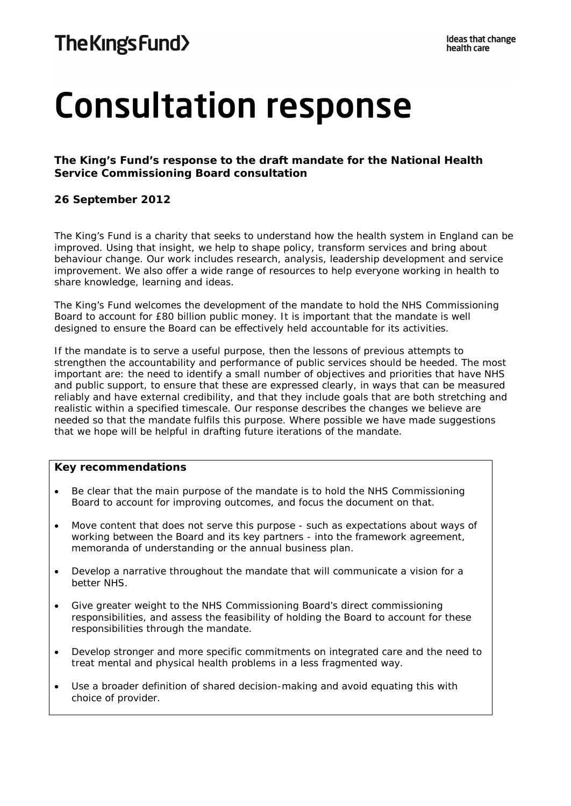# Consultation response

## **The King's Fund's response to the draft mandate for the National Health Service Commissioning Board consultation**

## **26 September 2012**

The King's Fund is a charity that seeks to understand how the health system in England can be improved. Using that insight, we help to shape policy, transform services and bring about behaviour change. Our work includes research, analysis, leadership development and service improvement. We also offer a wide range of resources to help everyone working in health to share knowledge, learning and ideas.

The King's Fund welcomes the development of the mandate to hold the NHS Commissioning Board to account for £80 billion public money. It is important that the mandate is well designed to ensure the Board can be effectively held accountable for its activities.

If the mandate is to serve a useful purpose, then the lessons of previous attempts to strengthen the accountability and performance of public services should be heeded. The most important are: the need to identify a small number of objectives and priorities that have NHS and public support, to ensure that these are expressed clearly, in ways that can be measured reliably and have external credibility, and that they include goals that are both stretching and realistic within a specified timescale. Our response describes the changes we believe are needed so that the mandate fulfils this purpose. Where possible we have made suggestions that we hope will be helpful in drafting future iterations of the mandate.

## **Key recommendations**

- Be clear that the main purpose of the mandate is to hold the NHS Commissioning Board to account for improving outcomes, and focus the document on that.
- Move content that does not serve this purpose such as expectations about ways of working between the Board and its key partners - into the framework agreement, memoranda of understanding or the annual business plan.
- Develop a narrative throughout the mandate that will communicate a vision for a better NHS.
- Give greater weight to the NHS Commissioning Board's direct commissioning responsibilities, and assess the feasibility of holding the Board to account for these responsibilities through the mandate.
- Develop stronger and more specific commitments on integrated care and the need to treat mental and physical health problems in a less fragmented way.
- Use a broader definition of shared decision-making and avoid equating this with choice of provider.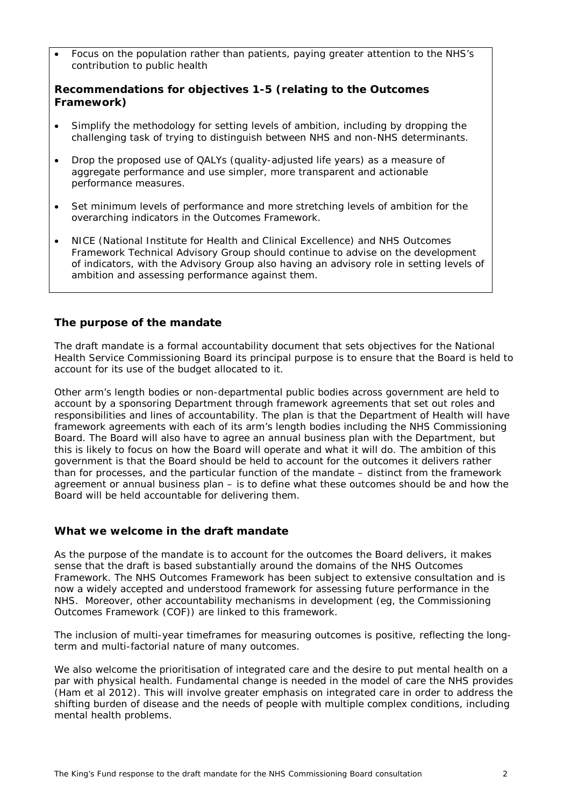• Focus on the population rather than patients, paying greater attention to the NHS's contribution to public health

## **Recommendations for objectives 1-5 (relating to the Outcomes Framework)**

- Simplify the methodology for setting levels of ambition, including by dropping the challenging task of trying to distinguish between NHS and non-NHS determinants.
- Drop the proposed use of QALYs (quality-adjusted life years) as a measure of aggregate performance and use simpler, more transparent and actionable performance measures.
- Set minimum levels of performance and more stretching levels of ambition for the overarching indicators in the Outcomes Framework.
- NICE (National Institute for Health and Clinical Excellence) and NHS Outcomes Framework Technical Advisory Group should continue to advise on the development of indicators, with the Advisory Group also having an advisory role in setting levels of ambition and assessing performance against them.

## **The purpose of the mandate**

The draft mandate is a formal accountability document that sets objectives for the National Health Service Commissioning Board its principal purpose is to ensure that the Board is held to account for its use of the budget allocated to it.

Other arm's length bodies or non-departmental public bodies across government are held to account by a sponsoring Department through framework agreements that set out roles and responsibilities and lines of accountability. The plan is that the Department of Health will have framework agreements with each of its arm's length bodies including the NHS Commissioning Board. The Board will also have to agree an annual business plan with the Department, but this is likely to focus on how the Board will operate and what it will do. The ambition of this government is that the Board should be held to account for the outcomes it delivers rather than for processes, and the particular function of the mandate – distinct from the framework agreement or annual business plan – is to define what these outcomes should be and how the Board will be held accountable for delivering them.

## **What we welcome in the draft mandate**

As the purpose of the mandate is to account for the outcomes the Board delivers, it makes sense that the draft is based substantially around the domains of the NHS Outcomes Framework. The NHS Outcomes Framework has been subject to extensive consultation and is now a widely accepted and understood framework for assessing future performance in the NHS. Moreover, other accountability mechanisms in development (eg, the Commissioning Outcomes Framework (COF)) are linked to this framework.

The inclusion of multi-year timeframes for measuring outcomes is positive, reflecting the longterm and multi-factorial nature of many outcomes.

We also welcome the prioritisation of integrated care and the desire to put mental health on a par with physical health. Fundamental change is needed in the model of care the NHS provides (Ham *et al* 2012). This will involve greater emphasis on integrated care in order to address the shifting burden of disease and the needs of people with multiple complex conditions, including mental health problems.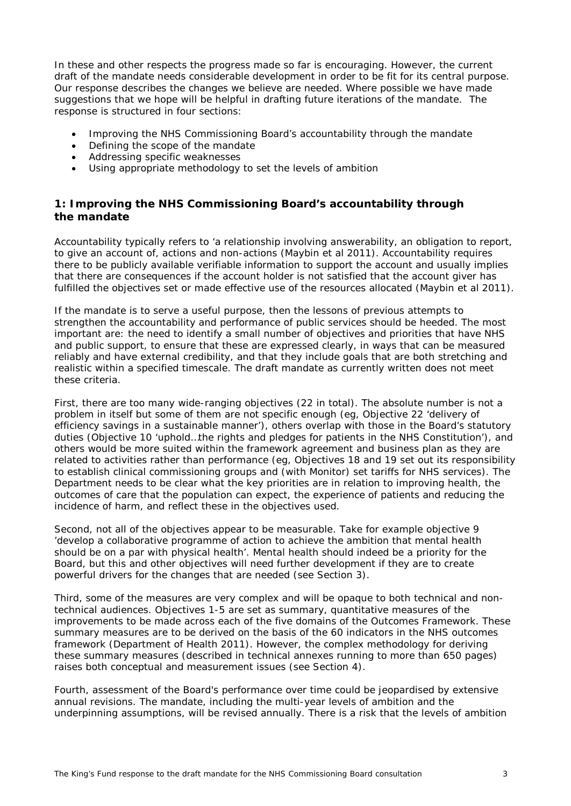In these and other respects the progress made so far is encouraging. However, the current draft of the mandate needs considerable development in order to be fit for its central purpose. Our response describes the changes we believe are needed. Where possible we have made suggestions that we hope will be helpful in drafting future iterations of the mandate. The response is structured in four sections:

- Improving the NHS Commissioning Board's accountability through the mandate
- Defining the scope of the mandate
- Addressing specific weaknesses
- Using appropriate methodology to set the levels of ambition

# **1: Improving the NHS Commissioning Board's accountability through the mandate**

Accountability typically refers to 'a relationship involving answerability, an obligation to report, to give an account of, actions and non-actions (Maybin *et al* 2011). Accountability requires there to be publicly available verifiable information to support the account and usually implies that there are consequences if the account holder is not satisfied that the account giver has fulfilled the objectives set or made effective use of the resources allocated (Maybin *et al* 2011).

If the mandate is to serve a useful purpose, then the lessons of previous attempts to strengthen the accountability and performance of public services should be heeded. The most important are: the need to identify a small number of objectives and priorities that have NHS and public support, to ensure that these are expressed clearly, in ways that can be measured reliably and have external credibility, and that they include goals that are both stretching and realistic within a specified timescale. The draft mandate as currently written does not meet these criteria.

First, there are too many wide-ranging objectives (22 in total). The absolute number is not a problem in itself but some of them are not specific enough (eg, Objective 22 'delivery of efficiency savings in a sustainable manner'), others overlap with those in the Board's statutory duties (Objective 10 'uphold…the rights and pledges for patients in the NHS Constitution'), and others would be more suited within the framework agreement and business plan as they are related to activities rather than performance (eg, Objectives 18 and 19 set out its responsibility to establish clinical commissioning groups and (with Monitor) set tariffs for NHS services). The Department needs to be clear what the key priorities are in relation to improving health, the outcomes of care that the population can expect, the experience of patients and reducing the incidence of harm, and reflect these in the objectives used.

Second, not all of the objectives appear to be measurable. Take for example objective 9 'develop a collaborative programme of action to achieve the ambition that mental health should be on a par with physical health'. Mental health should indeed be a priority for the Board, but this and other objectives will need further development if they are to create powerful drivers for the changes that are needed (see Section 3).

Third, some of the measures are very complex and will be opaque to both technical and nontechnical audiences. Objectives 1-5 are set as summary, quantitative measures of the improvements to be made across each of the five domains of the Outcomes Framework. These summary measures are to be derived on the basis of the 60 indicators in the NHS outcomes framework (Department of Health 2011). However, the complex methodology for deriving these summary measures (described in technical annexes running to more than 650 pages) raises both conceptual and measurement issues (see Section 4).

Fourth, assessment of the Board's performance over time could be jeopardised by extensive annual revisions. The mandate, including the multi-year levels of ambition and the underpinning assumptions, will be revised annually. There is a risk that the levels of ambition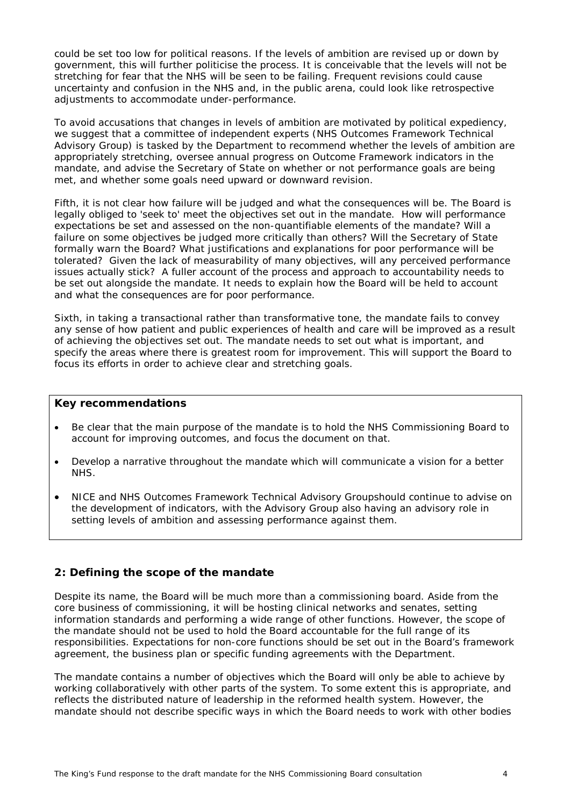could be set too low for political reasons. If the levels of ambition are revised up or down by government, this will further politicise the process. It is conceivable that the levels will not be stretching for fear that the NHS will be seen to be failing. Frequent revisions could cause uncertainty and confusion in the NHS and, in the public arena, could look like retrospective adjustments to accommodate under-performance.

To avoid accusations that changes in levels of ambition are motivated by political expediency, we suggest that a committee of independent experts (NHS Outcomes Framework Technical Advisory Group) is tasked by the Department to recommend whether the levels of ambition are appropriately stretching, oversee annual progress on Outcome Framework indicators in the mandate, and advise the Secretary of State on whether or not performance goals are being met, and whether some goals need upward or downward revision.

Fifth, it is not clear how failure will be judged and what the consequences will be. The Board is legally obliged to 'seek to' meet the objectives set out in the mandate. How will performance expectations be set and assessed on the non-quantifiable elements of the mandate? Will a failure on some objectives be judged more critically than others? Will the Secretary of State formally warn the Board? What justifications and explanations for poor performance will be tolerated? Given the lack of measurability of many objectives, will any perceived performance issues actually stick? A fuller account of the process and approach to accountability needs to be set out alongside the mandate. It needs to explain how the Board will be held to account and what the consequences are for poor performance.

Sixth, in taking a transactional rather than transformative tone, the mandate fails to convey any sense of how patient and public experiences of health and care will be improved as a result of achieving the objectives set out. The mandate needs to set out what is important, and specify the areas where there is greatest room for improvement. This will support the Board to focus its efforts in order to achieve clear and stretching goals.

## **Key recommendations**

- Be clear that the main purpose of the mandate is to hold the NHS Commissioning Board to account for improving outcomes, and focus the document on that.
- Develop a narrative throughout the mandate which will communicate a vision for a better NHS.
- NICE and NHS Outcomes Framework Technical Advisory Groupshould continue to advise on the development of indicators, with the Advisory Group also having an advisory role in setting levels of ambition and assessing performance against them.

## **2: Defining the scope of the mandate**

Despite its name, the Board will be much more than a commissioning board. Aside from the core business of commissioning, it will be hosting clinical networks and senates, setting information standards and performing a wide range of other functions. However, the scope of the mandate should not be used to hold the Board accountable for the full range of its responsibilities. Expectations for non-core functions should be set out in the Board's framework agreement, the business plan or specific funding agreements with the Department.

The mandate contains a number of objectives which the Board will only be able to achieve by working collaboratively with other parts of the system. To some extent this is appropriate, and reflects the distributed nature of leadership in the reformed health system. However, the mandate should not describe specific ways in which the Board needs to work with other bodies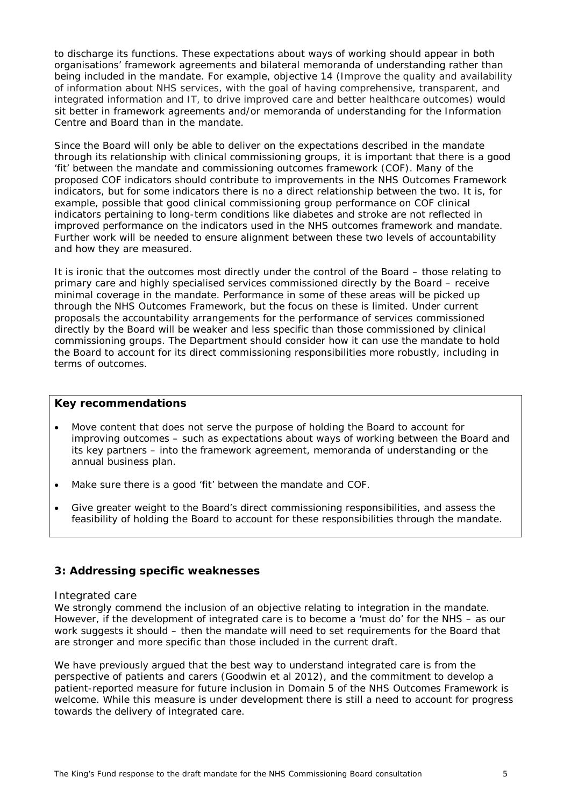to discharge its functions. These expectations about ways of working should appear in both organisations' framework agreements and bilateral memoranda of understanding rather than being included in the mandate. For example, objective 14 (Improve the quality and availability of information about NHS services, with the goal of having comprehensive, transparent, and integrated information and IT, to drive improved care and better healthcare outcomes) would sit better in framework agreements and/or memoranda of understanding for the Information Centre and Board than in the mandate.

Since the Board will only be able to deliver on the expectations described in the mandate through its relationship with clinical commissioning groups, it is important that there is a good 'fit' between the mandate and commissioning outcomes framework (COF). Many of the proposed COF indicators should contribute to improvements in the NHS Outcomes Framework indicators, but for some indicators there is no a direct relationship between the two. It is, for example, possible that good clinical commissioning group performance on COF clinical indicators pertaining to long-term conditions like diabetes and stroke are not reflected in improved performance on the indicators used in the NHS outcomes framework and mandate. Further work will be needed to ensure alignment between these two levels of accountability and how they are measured.

It is ironic that the outcomes most directly under the control of the Board – those relating to primary care and highly specialised services commissioned directly by the Board – receive minimal coverage in the mandate. Performance in some of these areas will be picked up through the NHS Outcomes Framework, but the focus on these is limited. Under current proposals the accountability arrangements for the performance of services commissioned directly by the Board will be weaker and less specific than those commissioned by clinical commissioning groups. The Department should consider how it can use the mandate to hold the Board to account for its direct commissioning responsibilities more robustly, including in terms of outcomes.

## **Key recommendations**

- Move content that does not serve the purpose of holding the Board to account for improving outcomes – such as expectations about ways of working between the Board and its key partners – into the framework agreement, memoranda of understanding or the annual business plan.
- Make sure there is a good 'fit' between the mandate and COF.
- Give greater weight to the Board's direct commissioning responsibilities, and assess the feasibility of holding the Board to account for these responsibilities through the mandate.

## **3: Addressing specific weaknesses**

#### *Integrated care*

We strongly commend the inclusion of an objective relating to integration in the mandate. However, if the development of integrated care is to become a 'must do' for the NHS – as our work suggests it should – then the mandate will need to set requirements for the Board that are stronger and more specific than those included in the current draft.

We have previously argued that the best way to understand integrated care is from the perspective of patients and carers (Goodwin *et al* 2012), and the commitment to develop a patient-reported measure for future inclusion in Domain 5 of the NHS Outcomes Framework is welcome. While this measure is under development there is still a need to account for progress towards the delivery of integrated care.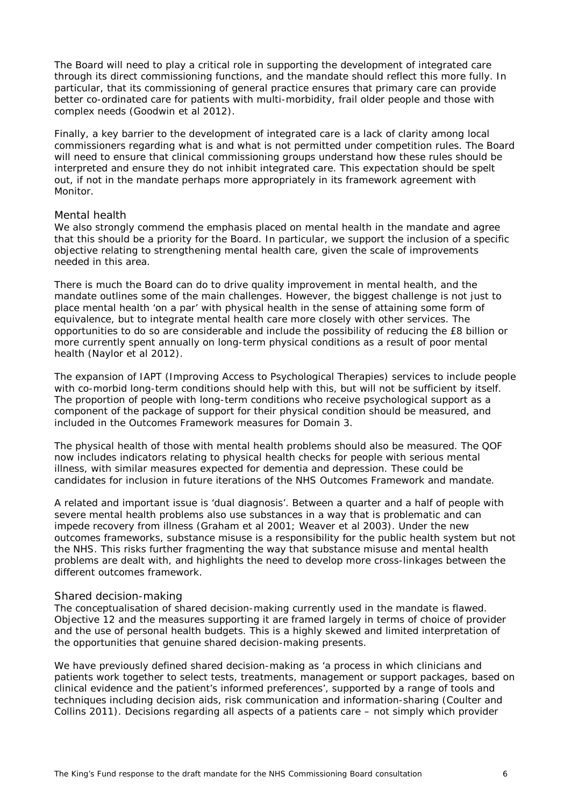The Board will need to play a critical role in supporting the development of integrated care through its direct commissioning functions, and the mandate should reflect this more fully. In particular, that its commissioning of general practice ensures that primary care can provide better co-ordinated care for patients with multi-morbidity, frail older people and those with complex needs (Goodwin *et al* 2012).

Finally, a key barrier to the development of integrated care is a lack of clarity among local commissioners regarding what is and what is not permitted under competition rules. The Board will need to ensure that clinical commissioning groups understand how these rules should be interpreted and ensure they do not inhibit integrated care. This expectation should be spelt out, if not in the mandate perhaps more appropriately in its framework agreement with Monitor.

## *Mental health*

We also strongly commend the emphasis placed on mental health in the mandate and agree that this should be a priority for the Board. In particular, we support the inclusion of a specific objective relating to strengthening mental health care, given the scale of improvements needed in this area.

There is much the Board can do to drive quality improvement in mental health, and the mandate outlines some of the main challenges. However, the biggest challenge is not just to place mental health 'on a par' with physical health in the sense of attaining some form of equivalence, but to integrate mental health care more closely with other services. The opportunities to do so are considerable and include the possibility of reducing the £8 billion or more currently spent annually on long-term physical conditions as a result of poor mental health (Naylor *et al* 2012).

The expansion of IAPT (Improving Access to Psychological Therapies) services to include people with co-morbid long-term conditions should help with this, but will not be sufficient by itself. The proportion of people with long-term conditions who receive psychological support as a component of the package of support for their physical condition should be measured, and included in the Outcomes Framework measures for Domain 3.

The physical health of those with mental health problems should also be measured. The QOF now includes indicators relating to physical health checks for people with serious mental illness, with similar measures expected for dementia and depression. These could be candidates for inclusion in future iterations of the NHS Outcomes Framework and mandate.

A related and important issue is 'dual diagnosis'. Between a quarter and a half of people with severe mental health problems also use substances in a way that is problematic and can impede recovery from illness (Graham *et al* 2001; Weaver *et al* 2003). Under the new outcomes frameworks, substance misuse is a responsibility for the public health system but not the NHS. This risks further fragmenting the way that substance misuse and mental health problems are dealt with, and highlights the need to develop more cross-linkages between the different outcomes framework.

#### *Shared decision-making*

The conceptualisation of shared decision-making currently used in the mandate is flawed. Objective 12 and the measures supporting it are framed largely in terms of choice of provider and the use of personal health budgets. This is a highly skewed and limited interpretation of the opportunities that genuine shared decision-making presents.

We have previously defined shared decision-making as 'a process in which clinicians and patients work together to select tests, treatments, management or support packages, based on clinical evidence and the patient's informed preferences', supported by a range of tools and techniques including decision aids, risk communication and information-sharing (Coulter and Collins 2011). Decisions regarding all aspects of a patients care – not simply which provider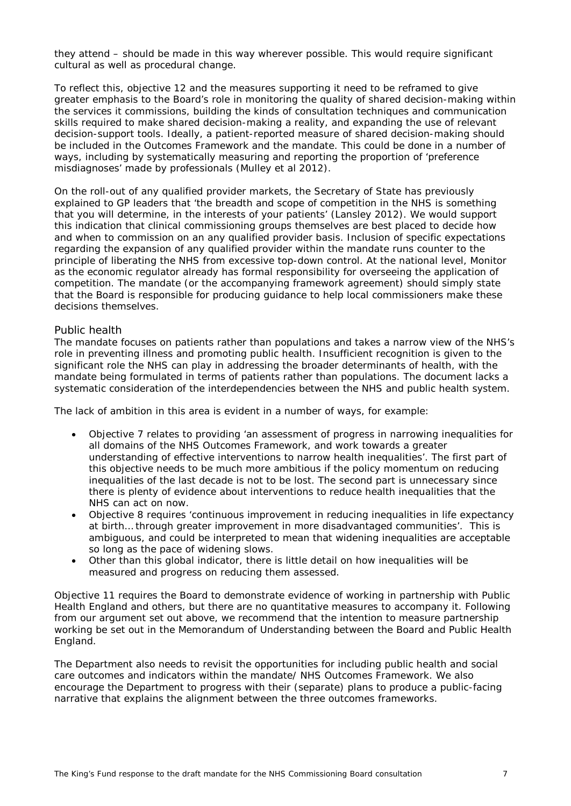they attend – should be made in this way wherever possible. This would require significant cultural as well as procedural change.

To reflect this, objective 12 and the measures supporting it need to be reframed to give greater emphasis to the Board's role in monitoring the quality of shared decision-making within the services it commissions, building the kinds of consultation techniques and communication skills required to make shared decision-making a reality, and expanding the use of relevant decision-support tools. Ideally, a patient-reported measure of shared decision-making should be included in the Outcomes Framework and the mandate. This could be done in a number of ways, including by systematically measuring and reporting the proportion of 'preference misdiagnoses' made by professionals (Mulley *et al* 2012).

On the roll-out of any qualified provider markets, the Secretary of State has previously explained to GP leaders that 'the breadth and scope of competition in the NHS is something that you will determine, in the interests of your patients' (Lansley 2012). We would support this indication that clinical commissioning groups themselves are best placed to decide how and when to commission on an any qualified provider basis. Inclusion of specific expectations regarding the expansion of any qualified provider within the mandate runs counter to the principle of liberating the NHS from excessive top-down control. At the national level, Monitor as the economic regulator already has formal responsibility for overseeing the application of competition. The mandate (or the accompanying framework agreement) should simply state that the Board is responsible for producing guidance to help local commissioners make these decisions themselves.

## *Public health*

The mandate focuses on patients rather than populations and takes a narrow view of the NHS's role in preventing illness and promoting public health. Insufficient recognition is given to the significant role the NHS can play in addressing the broader determinants of health, with the mandate being formulated in terms of patients rather than populations. The document lacks a systematic consideration of the interdependencies between the NHS and public health system.

The lack of ambition in this area is evident in a number of ways, for example:

- Objective 7 relates to providing 'an assessment of progress in narrowing inequalities for all domains of the NHS Outcomes Framework, and work towards a greater understanding of effective interventions to narrow health inequalities'. The first part of this objective needs to be much more ambitious if the policy momentum on reducing inequalities of the last decade is not to be lost. The second part is unnecessary since there is plenty of evidence about interventions to reduce health inequalities that the NHS can act on now.
- Objective 8 requires 'continuous improvement in reducing inequalities in life expectancy at birth… through greater improvement in more disadvantaged communities'. This is ambiguous, and could be interpreted to mean that widening inequalities are acceptable so long as the pace of widening slows.
- Other than this global indicator, there is little detail on how inequalities will be measured and progress on reducing them assessed.

Objective 11 requires the Board to demonstrate evidence of working in partnership with Public Health England and others, but there are no quantitative measures to accompany it. Following from our argument set out above, we recommend that the intention to measure partnership working be set out in the Memorandum of Understanding between the Board and Public Health England.

The Department also needs to revisit the opportunities for including public health and social care outcomes and indicators within the mandate/ NHS Outcomes Framework. We also encourage the Department to progress with their (separate) plans to produce a public-facing narrative that explains the alignment between the three outcomes frameworks.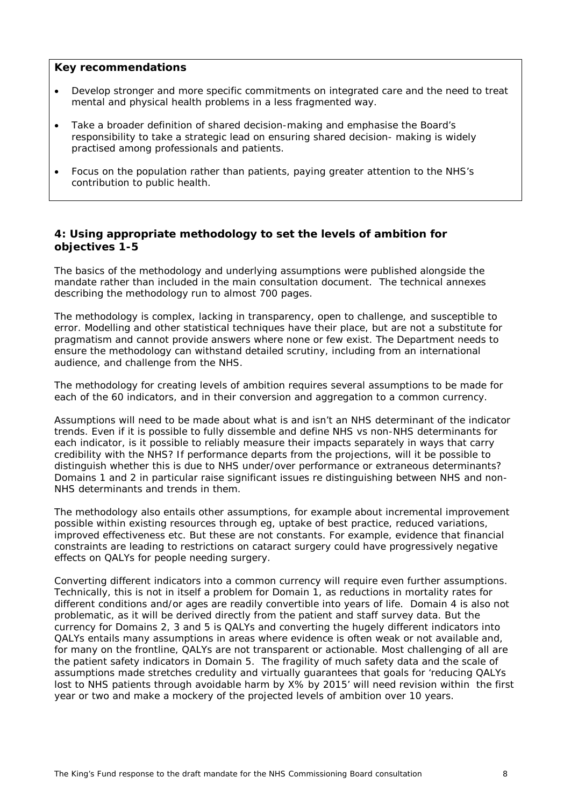#### **Key recommendations**

- Develop stronger and more specific commitments on integrated care and the need to treat mental and physical health problems in a less fragmented way.
- Take a broader definition of shared decision-making and emphasise the Board's responsibility to take a strategic lead on ensuring shared decision- making is widely practised among professionals and patients.
- Focus on the population rather than patients, paying greater attention to the NHS's contribution to public health.

## **4: Using appropriate methodology to set the levels of ambition for objectives 1-5**

The basics of the methodology and underlying assumptions were published alongside the mandate rather than included in the main consultation document. The technical annexes describing the methodology run to almost 700 pages.

The methodology is complex, lacking in transparency, open to challenge, and susceptible to error. Modelling and other statistical techniques have their place, but are not a substitute for pragmatism and cannot provide answers where none or few exist. The Department needs to ensure the methodology can withstand detailed scrutiny, including from an international audience, and challenge from the NHS.

The methodology for creating levels of ambition requires several assumptions to be made for each of the 60 indicators, and in their conversion and aggregation to a common currency.

Assumptions will need to be made about what is and isn't an NHS determinant of the indicator trends. Even if it is possible to fully dissemble and define NHS vs non-NHS determinants for each indicator, is it possible to reliably measure their impacts separately in ways that carry credibility with the NHS? If performance departs from the projections, will it be possible to distinguish whether this is due to NHS under/over performance or extraneous determinants? Domains 1 and 2 in particular raise significant issues re distinguishing between NHS and non-NHS determinants and trends in them.

The methodology also entails other assumptions, for example about incremental improvement possible within existing resources through eg, uptake of best practice, reduced variations, improved effectiveness etc. But these are not constants. For example, evidence that financial constraints are leading to restrictions on cataract surgery could have progressively negative effects on QALYs for people needing surgery.

Converting different indicators into a common currency will require even further assumptions. Technically, this is not in itself a problem for Domain 1, as reductions in mortality rates for different conditions and/or ages are readily convertible into years of life. Domain 4 is also not problematic, as it will be derived directly from the patient and staff survey data. But the currency for Domains 2, 3 and 5 is QALYs and converting the hugely different indicators into QALYs entails many assumptions in areas where evidence is often weak or not available and, for many on the frontline, QALYs are not transparent or actionable. Most challenging of all are the patient safety indicators in Domain 5. The fragility of much safety data and the scale of assumptions made stretches credulity and virtually guarantees that goals for 'reducing QALYs lost to NHS patients through avoidable harm by X% by 2015' will need revision within the first year or two and make a mockery of the projected levels of ambition over 10 years.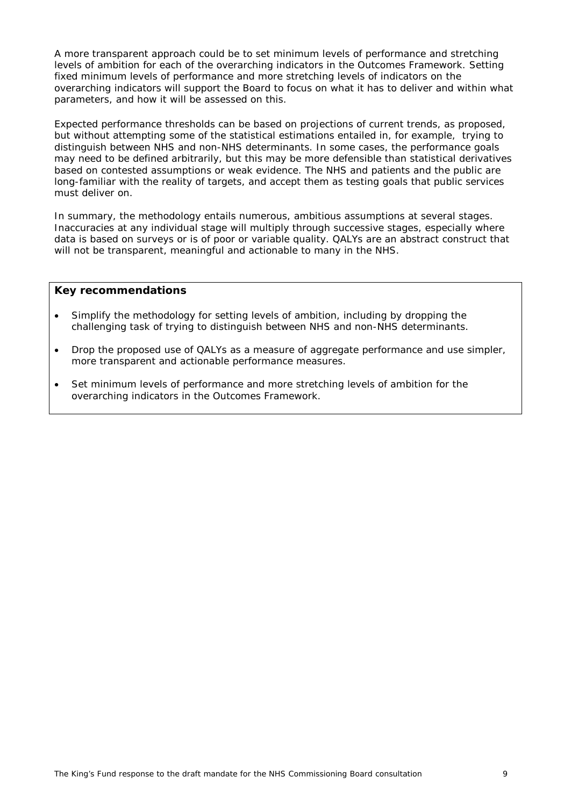A more transparent approach could be to set minimum levels of performance *and* stretching levels of ambition for each of the overarching indicators in the Outcomes Framework. Setting fixed minimum levels of performance and more stretching levels of indicators on the overarching indicators will support the Board to focus on what it has to deliver and within what parameters, and how it will be assessed on this.

Expected performance thresholds can be based on projections of current trends, as proposed, but without attempting some of the statistical estimations entailed in, for example, trying to distinguish between NHS and non-NHS determinants. In some cases, the performance goals may need to be defined arbitrarily, but this may be more defensible than statistical derivatives based on contested assumptions or weak evidence. The NHS and patients and the public are long-familiar with the reality of targets, and accept them as testing goals that public services must deliver on.

In summary, the methodology entails numerous, ambitious assumptions at several stages. Inaccuracies at any individual stage will multiply through successive stages, especially where data is based on surveys or is of poor or variable quality. QALYs are an abstract construct that will not be transparent, meaningful and actionable to many in the NHS.

#### **Key recommendations**

- Simplify the methodology for setting levels of ambition, including by dropping the challenging task of trying to distinguish between NHS and non-NHS determinants.
- Drop the proposed use of QALYs as a measure of aggregate performance and use simpler, more transparent and actionable performance measures.
- Set minimum levels of performance and more stretching levels of ambition for the overarching indicators in the Outcomes Framework.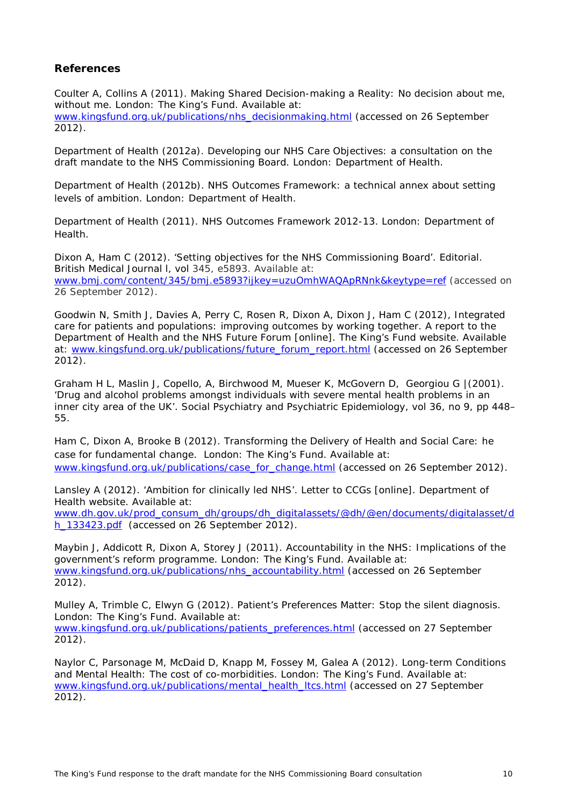## **References**

Coulter A, Collins A (2011). *Making Shared Decision-making a Reality: No decision about me, without me*. London: The King's Fund. Available at: [www.kingsfund.org.uk/publications/nhs\\_decisionmaking.html](http://www.kingsfund.org.uk/publications/nhs_decisionmaking.html) (accessed on 26 September 2012).

Department of Health (2012a). *Developing our NHS Care Objectives: a consultation on the draft mandate to the NHS Commissioning Board*. London: Department of Health.

Department of Health (2012b). *NHS Outcomes Framework: a technical annex about setting levels of ambition*. London: Department of Health.

Department of Health (2011). *NHS Outcomes Framework 2012-13*. London: Department of Health.

Dixon A, Ham C (2012). 'Setting objectives for the NHS Commissioning Board'. Editorial. *British Medical Journal* l, vol 345, e5893. Available at: www.bmj.com/content/345/bmj.e5893?ijkey=uzuOmhWAQApRNnk&keytype=ref (accessed on 26 September 2012).

Goodwin N, Smith J, Davies A, Perry C, Rosen R, Dixon A, Dixon J, Ham C (2012), *Integrated care for patients and populations: improving outcomes by working together. A report to the Department of Health and the NHS Future Forum* [online]*.* The King's Fund website. Available at: www.kingsfund.org.uk/publications/future\_forum\_report.html (accessed on 26 September 2012).

Graham H L, Maslin J, Copello, A, Birchwood M, Mueser K, McGovern D, Georgiou G |(2001). 'Drug and alcohol problems amongst individuals with severe mental health problems in an inner city area of the UK'. *Social Psychiatry and Psychiatric Epidemiology*, vol 36, no 9, pp 448– 55.

Ham C, Dixon A, Brooke B (2012). *Transforming the Delivery of Health and Social Care: he case for fundamental change*. London: The King's Fund. Available at: [www.kingsfund.org.uk/publications/case\\_for\\_change.html](http://www.kingsfund.org.uk/publications/case_for_change.html) (accessed on 26 September 2012).

Lansley A (2012). 'Ambition for clinically led NHS'. Letter to CCGs [online]. Department of Health website. Available at: [www.dh.gov.uk/prod\\_consum\\_dh/groups/dh\\_digitalassets/@dh/@en/documents/digitalasset/d](http://www.dh.gov.uk/prod_consum_dh/groups/dh_digitalassets/@dh/@en/documents/digitalasset/dh_133423.pdf) [h\\_133423.pdf](http://www.dh.gov.uk/prod_consum_dh/groups/dh_digitalassets/@dh/@en/documents/digitalasset/dh_133423.pdf) (accessed on 26 September 2012).

Maybin J, Addicott R, Dixon A, Storey J (2011). *Accountability in the NHS: Implications of the government's reform programme.* London: The King's Fund. Available at: [www.kingsfund.org.uk/publications/nhs\\_accountability.html](http://www.kingsfund.org.uk/publications/nhs_accountability.html) (accessed on 26 September 2012).

Mulley A, Trimble C, Elwyn G (2012). *Patient's Preferences Matter: Stop the silent diagnosis.* London: The King's Fund. Available at: [www.kingsfund.org.uk/publications/patients\\_preferences.html](http://www.kingsfund.org.uk/publications/patients_preferences.html) (accessed on 27 September 2012).

Naylor C, Parsonage M, McDaid D, Knapp M, Fossey M, Galea A (2012). *Long-term Conditions and Mental Health: The cost of co-morbidities*. London: The King's Fund. Available at: [www.kingsfund.org.uk/publications/mental\\_health\\_ltcs.html](http://www.kingsfund.org.uk/publications/mental_health_ltcs.html) (accessed on 27 September 2012).